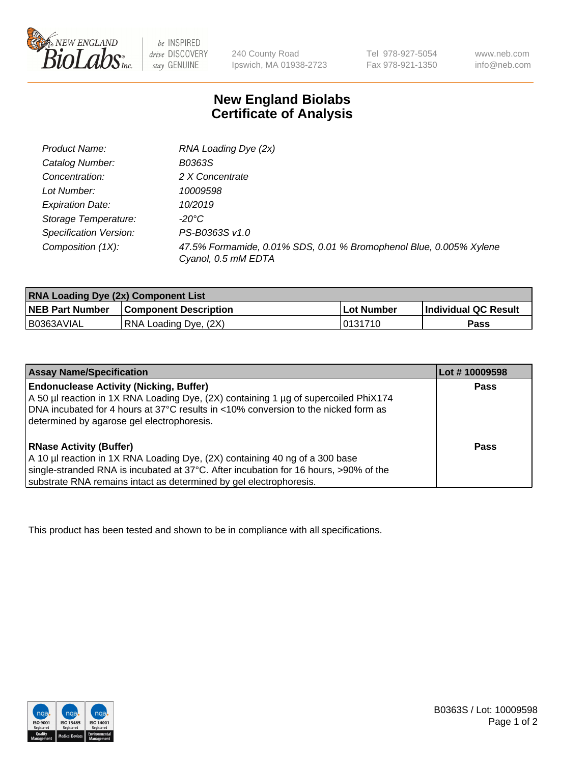

 $be$  INSPIRED drive DISCOVERY stay GENUINE

240 County Road Ipswich, MA 01938-2723 Tel 978-927-5054 Fax 978-921-1350 www.neb.com info@neb.com

## **New England Biolabs Certificate of Analysis**

| Product Name:           | RNA Loading Dye (2x)                                                                      |
|-------------------------|-------------------------------------------------------------------------------------------|
| Catalog Number:         | B0363S                                                                                    |
| Concentration:          | 2 X Concentrate                                                                           |
| Lot Number:             | 10009598                                                                                  |
| <b>Expiration Date:</b> | 10/2019                                                                                   |
| Storage Temperature:    | -20°C                                                                                     |
| Specification Version:  | PS-B0363S v1.0                                                                            |
| Composition (1X):       | 47.5% Formamide, 0.01% SDS, 0.01 % Bromophenol Blue, 0.005% Xylene<br>Cyanol, 0.5 mM EDTA |

| <b>RNA Loading Dye (2x) Component List</b> |                              |                   |                      |  |
|--------------------------------------------|------------------------------|-------------------|----------------------|--|
| <b>NEB Part Number</b>                     | <b>Component Description</b> | <b>Lot Number</b> | Individual QC Result |  |
| B0363AVIAL                                 | RNA Loading Dye, (2X)        | 10131710          | Pass                 |  |

| <b>Assay Name/Specification</b>                                                                                                                                                                                                                                             | Lot #10009598 |
|-----------------------------------------------------------------------------------------------------------------------------------------------------------------------------------------------------------------------------------------------------------------------------|---------------|
| <b>Endonuclease Activity (Nicking, Buffer)</b><br>A 50 µl reaction in 1X RNA Loading Dye, (2X) containing 1 µg of supercoiled PhiX174<br>DNA incubated for 4 hours at 37°C results in <10% conversion to the nicked form as<br>determined by agarose gel electrophoresis.   | <b>Pass</b>   |
| <b>RNase Activity (Buffer)</b><br>A 10 µl reaction in 1X RNA Loading Dye, (2X) containing 40 ng of a 300 base<br>single-stranded RNA is incubated at 37°C. After incubation for 16 hours, >90% of the<br>substrate RNA remains intact as determined by gel electrophoresis. | Pass          |

This product has been tested and shown to be in compliance with all specifications.